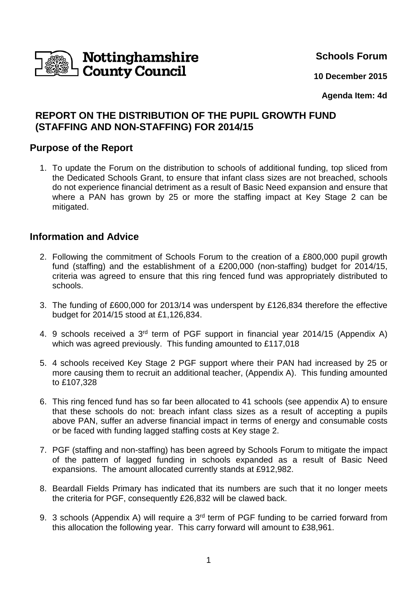

**Schools Forum**

**10 December 2015**

### **Agenda Item: 4d**

# **REPORT ON THE DISTRIBUTION OF THE PUPIL GROWTH FUND (STAFFING AND NON-STAFFING) FOR 2014/15**

## **Purpose of the Report**

1. To update the Forum on the distribution to schools of additional funding, top sliced from the Dedicated Schools Grant, to ensure that infant class sizes are not breached, schools do not experience financial detriment as a result of Basic Need expansion and ensure that where a PAN has grown by 25 or more the staffing impact at Key Stage 2 can be mitigated.

## **Information and Advice**

- 2. Following the commitment of Schools Forum to the creation of a £800,000 pupil growth fund (staffing) and the establishment of a £200,000 (non-staffing) budget for 2014/15, criteria was agreed to ensure that this ring fenced fund was appropriately distributed to schools.
- 3. The funding of £600,000 for 2013/14 was underspent by £126,834 therefore the effective budget for 2014/15 stood at £1,126,834.
- 4. 9 schools received a 3<sup>rd</sup> term of PGF support in financial year 2014/15 (Appendix A) which was agreed previously. This funding amounted to £117,018
- 5. 4 schools received Key Stage 2 PGF support where their PAN had increased by 25 or more causing them to recruit an additional teacher, (Appendix A). This funding amounted to £107,328
- 6. This ring fenced fund has so far been allocated to 41 schools (see appendix A) to ensure that these schools do not: breach infant class sizes as a result of accepting a pupils above PAN, suffer an adverse financial impact in terms of energy and consumable costs or be faced with funding lagged staffing costs at Key stage 2.
- 7. PGF (staffing and non-staffing) has been agreed by Schools Forum to mitigate the impact of the pattern of lagged funding in schools expanded as a result of Basic Need expansions. The amount allocated currently stands at £912,982.
- 8. Beardall Fields Primary has indicated that its numbers are such that it no longer meets the criteria for PGF, consequently £26,832 will be clawed back.
- 9. 3 schools (Appendix A) will require a 3<sup>rd</sup> term of PGF funding to be carried forward from this allocation the following year. This carry forward will amount to £38,961.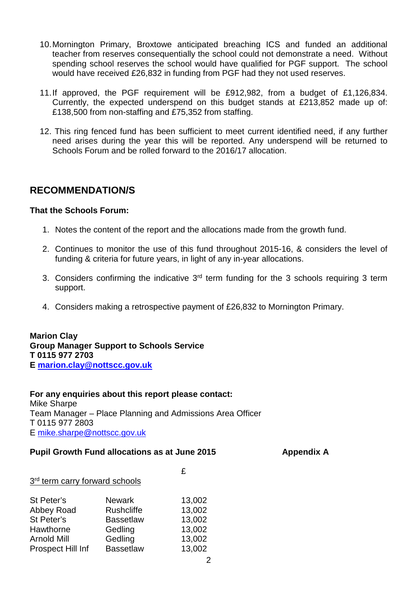- 10. Mornington Primary, Broxtowe anticipated breaching ICS and funded an additional teacher from reserves consequentially the school could not demonstrate a need. Without spending school reserves the school would have qualified for PGF support. The school would have received £26,832 in funding from PGF had they not used reserves.
- 11. If approved, the PGF requirement will be £912,982, from a budget of £1,126,834. Currently, the expected underspend on this budget stands at £213,852 made up of: £138,500 from non-staffing and £75,352 from staffing.
- 12. This ring fenced fund has been sufficient to meet current identified need, if any further need arises during the year this will be reported. Any underspend will be returned to Schools Forum and be rolled forward to the 2016/17 allocation.

## **RECOMMENDATION/S**

### **That the Schools Forum:**

- 1. Notes the content of the report and the allocations made from the growth fund.
- 2. Continues to monitor the use of this fund throughout 2015-16, & considers the level of funding & criteria for future years, in light of any in-year allocations.
- 3. Considers confirming the indicative  $3<sup>rd</sup>$  term funding for the 3 schools requiring 3 term support.
- 4. Considers making a retrospective payment of £26,832 to Mornington Primary.

**Marion Clay Group Manager Support to Schools Service T 0115 977 2703 E marion.clay@nottscc.gov.uk**

#### **For any enquiries about this report please contact:** Mike Sharpe

Team Manager – Place Planning and Admissions Area Officer T 0115 977 2803 E mike.sharpe@nottscc.gov.uk

#### **Pupil Growth Fund allocations as at June 2015 Appendix A**

| 3rd term carry forward schools | £                 |        |
|--------------------------------|-------------------|--------|
| St Peter's                     | <b>Newark</b>     | 13,002 |
| Abbey Road                     | <b>Rushcliffe</b> | 13,002 |
| St Peter's                     | <b>Bassetlaw</b>  | 13,002 |
| Hawthorne                      | Gedling           | 13,002 |
| <b>Arnold Mill</b>             | Gedling           | 13,002 |
| Prospect Hill Inf              | <b>Bassetlaw</b>  | 13,002 |